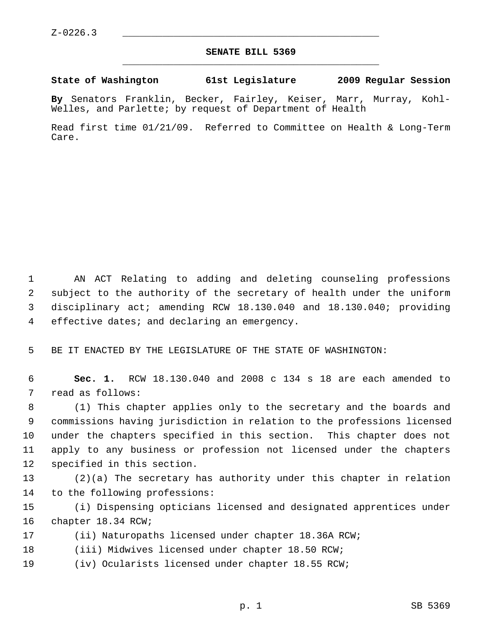## **SENATE BILL 5369** \_\_\_\_\_\_\_\_\_\_\_\_\_\_\_\_\_\_\_\_\_\_\_\_\_\_\_\_\_\_\_\_\_\_\_\_\_\_\_\_\_\_\_\_\_

## **State of Washington 61st Legislature 2009 Regular Session**

**By** Senators Franklin, Becker, Fairley, Keiser, Marr, Murray, Kohl-Welles, and Parlette; by request of Department of Health

Read first time 01/21/09. Referred to Committee on Health & Long-Term Care.

 1 AN ACT Relating to adding and deleting counseling professions 2 subject to the authority of the secretary of health under the uniform 3 disciplinary act; amending RCW 18.130.040 and 18.130.040; providing 4 effective dates; and declaring an emergency.

5 BE IT ENACTED BY THE LEGISLATURE OF THE STATE OF WASHINGTON:

 6 **Sec. 1.** RCW 18.130.040 and 2008 c 134 s 18 are each amended to 7 read as follows:

 8 (1) This chapter applies only to the secretary and the boards and 9 commissions having jurisdiction in relation to the professions licensed 10 under the chapters specified in this section. This chapter does not 11 apply to any business or profession not licensed under the chapters 12 specified in this section.

13 (2)(a) The secretary has authority under this chapter in relation 14 to the following professions:

15 (i) Dispensing opticians licensed and designated apprentices under 16 chapter 18.34 RCW;

- 17 (ii) Naturopaths licensed under chapter 18.36A RCW;
- 18 (iii) Midwives licensed under chapter 18.50 RCW;
- 19 (iv) Ocularists licensed under chapter 18.55 RCW;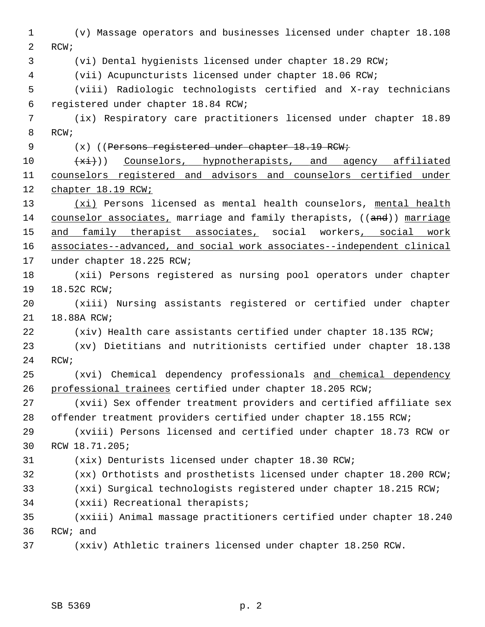1 (v) Massage operators and businesses licensed under chapter 18.108 2 RCW; 3 (vi) Dental hygienists licensed under chapter 18.29 RCW; 4 (vii) Acupuncturists licensed under chapter 18.06 RCW; 5 (viii) Radiologic technologists certified and X-ray technicians 6 registered under chapter 18.84 RCW; 7 (ix) Respiratory care practitioners licensed under chapter 18.89 8 RCW; 9 (x) ((Persons registered under chapter 18.19 RCW; 10  $+xi)$ ) Counselors, hypnotherapists, and agency affiliated 11 counselors registered and advisors and counselors certified under 12 chapter 18.19 RCW; 13 (xi) Persons licensed as mental health counselors, mental health 14 counselor associates, marriage and family therapists, ((and)) marriage 15 and family therapist associates, social workers, social work 16 associates--advanced, and social work associates--independent clinical 17 under chapter 18.225 RCW; 18 (xii) Persons registered as nursing pool operators under chapter 19 18.52C RCW; 20 (xiii) Nursing assistants registered or certified under chapter 21 18.88A RCW; 22 (xiv) Health care assistants certified under chapter 18.135 RCW; 23 (xv) Dietitians and nutritionists certified under chapter 18.138 24 RCW; 25 (xvi) Chemical dependency professionals and chemical dependency 26 professional trainees certified under chapter 18.205 RCW; 27 (xvii) Sex offender treatment providers and certified affiliate sex 28 offender treatment providers certified under chapter 18.155 RCW; 29 (xviii) Persons licensed and certified under chapter 18.73 RCW or 30 RCW 18.71.205; 31 (xix) Denturists licensed under chapter 18.30 RCW; 32 (xx) Orthotists and prosthetists licensed under chapter 18.200 RCW; 33 (xxi) Surgical technologists registered under chapter 18.215 RCW; 34 (xxii) Recreational therapists; 35 (xxiii) Animal massage practitioners certified under chapter 18.240 36 RCW; and 37 (xxiv) Athletic trainers licensed under chapter 18.250 RCW.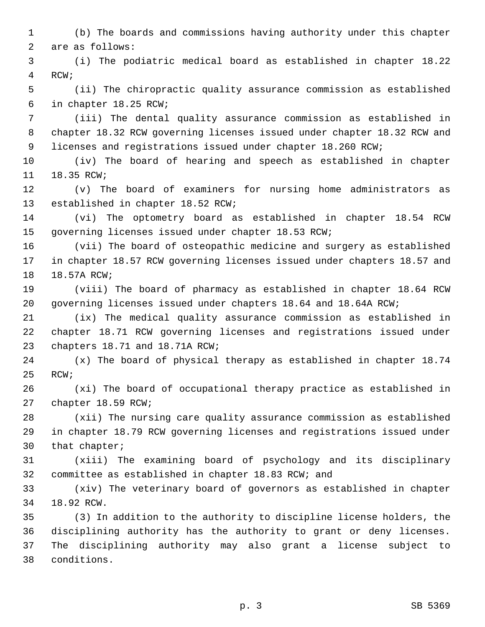1 (b) The boards and commissions having authority under this chapter 2 are as follows:

 3 (i) The podiatric medical board as established in chapter 18.22 4 RCW;

 5 (ii) The chiropractic quality assurance commission as established 6 in chapter 18.25 RCW;

 7 (iii) The dental quality assurance commission as established in 8 chapter 18.32 RCW governing licenses issued under chapter 18.32 RCW and 9 licenses and registrations issued under chapter 18.260 RCW;

10 (iv) The board of hearing and speech as established in chapter 11 18.35 RCW;

12 (v) The board of examiners for nursing home administrators as 13 established in chapter 18.52 RCW;

14 (vi) The optometry board as established in chapter 18.54 RCW 15 governing licenses issued under chapter 18.53 RCW;

16 (vii) The board of osteopathic medicine and surgery as established 17 in chapter 18.57 RCW governing licenses issued under chapters 18.57 and 18 18.57A RCW;

19 (viii) The board of pharmacy as established in chapter 18.64 RCW 20 governing licenses issued under chapters 18.64 and 18.64A RCW;

21 (ix) The medical quality assurance commission as established in 22 chapter 18.71 RCW governing licenses and registrations issued under 23 chapters 18.71 and 18.71A RCW;

24 (x) The board of physical therapy as established in chapter 18.74 25 RCW;

26 (xi) The board of occupational therapy practice as established in 27 chapter 18.59 RCW;

28 (xii) The nursing care quality assurance commission as established 29 in chapter 18.79 RCW governing licenses and registrations issued under 30 that chapter;

31 (xiii) The examining board of psychology and its disciplinary 32 committee as established in chapter 18.83 RCW; and

33 (xiv) The veterinary board of governors as established in chapter 34 18.92 RCW.

35 (3) In addition to the authority to discipline license holders, the 36 disciplining authority has the authority to grant or deny licenses. 37 The disciplining authority may also grant a license subject to 38 conditions.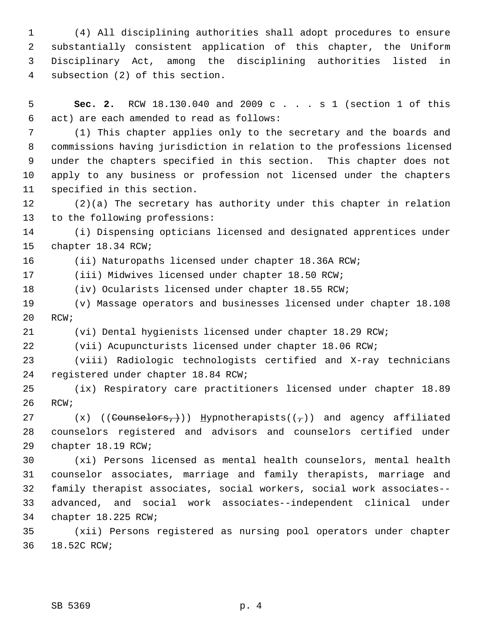1 (4) All disciplining authorities shall adopt procedures to ensure 2 substantially consistent application of this chapter, the Uniform 3 Disciplinary Act, among the disciplining authorities listed in 4 subsection (2) of this section.

 5 **Sec. 2.** RCW 18.130.040 and 2009 c . . . s 1 (section 1 of this 6 act) are each amended to read as follows:

 7 (1) This chapter applies only to the secretary and the boards and 8 commissions having jurisdiction in relation to the professions licensed 9 under the chapters specified in this section. This chapter does not 10 apply to any business or profession not licensed under the chapters 11 specified in this section.

12 (2)(a) The secretary has authority under this chapter in relation 13 to the following professions:

14 (i) Dispensing opticians licensed and designated apprentices under 15 chapter 18.34 RCW;

16 (ii) Naturopaths licensed under chapter 18.36A RCW;

17 (iii) Midwives licensed under chapter 18.50 RCW;

18 (iv) Ocularists licensed under chapter 18.55 RCW;

19 (v) Massage operators and businesses licensed under chapter 18.108 20 RCW;

21 (vi) Dental hygienists licensed under chapter 18.29 RCW;

22 (vii) Acupuncturists licensed under chapter 18.06 RCW;

23 (viii) Radiologic technologists certified and X-ray technicians 24 registered under chapter 18.84 RCW;

25 (ix) Respiratory care practitioners licensed under chapter 18.89 26 RCW;

27  $(x)$  ((Counselors,)) Hypnotherapists(( $\tau$ )) and agency affiliated 28 counselors registered and advisors and counselors certified under 29 chapter 18.19 RCW;

30 (xi) Persons licensed as mental health counselors, mental health 31 counselor associates, marriage and family therapists, marriage and 32 family therapist associates, social workers, social work associates-- 33 advanced, and social work associates--independent clinical under 34 chapter 18.225 RCW;

35 (xii) Persons registered as nursing pool operators under chapter 36 18.52C RCW;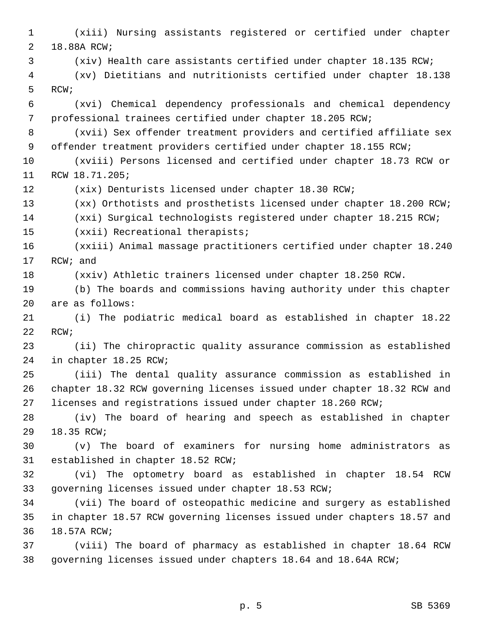1 (xiii) Nursing assistants registered or certified under chapter 2 18.88A RCW; 3 (xiv) Health care assistants certified under chapter 18.135 RCW; 4 (xv) Dietitians and nutritionists certified under chapter 18.138 5 RCW; 6 (xvi) Chemical dependency professionals and chemical dependency 7 professional trainees certified under chapter 18.205 RCW; 8 (xvii) Sex offender treatment providers and certified affiliate sex 9 offender treatment providers certified under chapter 18.155 RCW; 10 (xviii) Persons licensed and certified under chapter 18.73 RCW or 11 RCW 18.71.205; 12 (xix) Denturists licensed under chapter 18.30 RCW; 13 (xx) Orthotists and prosthetists licensed under chapter 18.200 RCW; 14 (xxi) Surgical technologists registered under chapter 18.215 RCW; 15 (xxii) Recreational therapists; 16 (xxiii) Animal massage practitioners certified under chapter 18.240 17 RCW; and 18 (xxiv) Athletic trainers licensed under chapter 18.250 RCW. 19 (b) The boards and commissions having authority under this chapter 20 are as follows: 21 (i) The podiatric medical board as established in chapter 18.22 22 RCW; 23 (ii) The chiropractic quality assurance commission as established 24 in chapter 18.25 RCW; 25 (iii) The dental quality assurance commission as established in 26 chapter 18.32 RCW governing licenses issued under chapter 18.32 RCW and 27 licenses and registrations issued under chapter 18.260 RCW; 28 (iv) The board of hearing and speech as established in chapter 29 18.35 RCW; 30 (v) The board of examiners for nursing home administrators as 31 established in chapter 18.52 RCW; 32 (vi) The optometry board as established in chapter 18.54 RCW 33 governing licenses issued under chapter 18.53 RCW; 34 (vii) The board of osteopathic medicine and surgery as established 35 in chapter 18.57 RCW governing licenses issued under chapters 18.57 and 36 18.57A RCW; 37 (viii) The board of pharmacy as established in chapter 18.64 RCW 38 governing licenses issued under chapters 18.64 and 18.64A RCW;